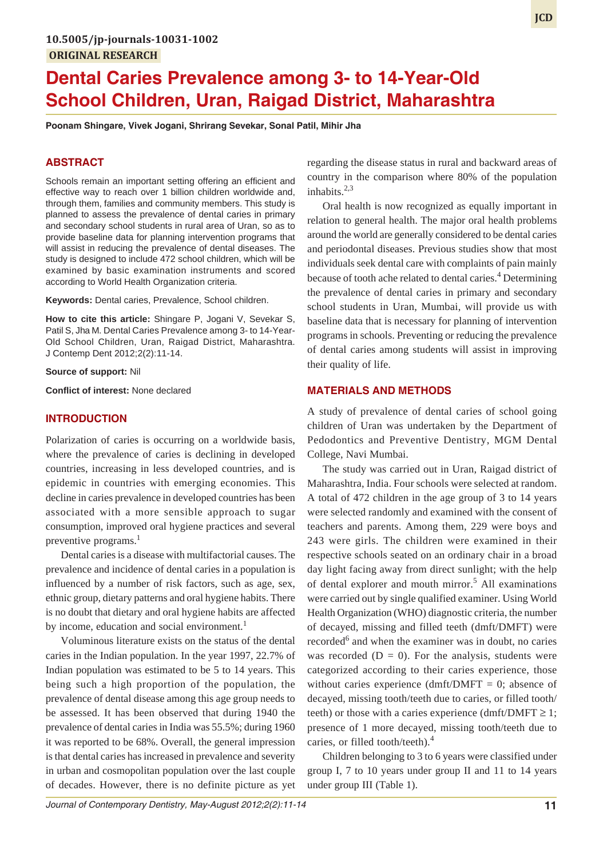# **Dental Caries Prevalence among 3- to 14-Year-Old School Children, Uran, Raigad District, Maharashtra**

**Poonam Shingare, Vivek Jogani, Shrirang Sevekar, Sonal Patil, Mihir Jha**

#### **ABSTRACT**

Schools remain an important setting offering an efficient and effective way to reach over 1 billion children worldwide and, through them, families and community members. This study is planned to assess the prevalence of dental caries in primary and secondary school students in rural area of Uran, so as to provide baseline data for planning intervention programs that will assist in reducing the prevalence of dental diseases. The study is designed to include 472 school children, which will be examined by basic examination instruments and scored according to World Health Organization criteria.

**Keywords:** Dental caries, Prevalence, School children.

**How to cite this article:** Shingare P, Jogani V, Sevekar S, Patil S, Jha M. Dental Caries Prevalence among 3- to 14-Year-Old School Children, Uran, Raigad District, Maharashtra. J Contemp Dent 2012;2(2):11-14.

**Source of support:** Nil

**Conflict of interest:** None declared

#### **INTRODUCTION**

Polarization of caries is occurring on a worldwide basis, where the prevalence of caries is declining in developed countries, increasing in less developed countries, and is epidemic in countries with emerging economies. This decline in caries prevalence in developed countries has been associated with a more sensible approach to sugar consumption, improved oral hygiene practices and several preventive programs.<sup>1</sup>

Dental caries is a disease with multifactorial causes. The prevalence and incidence of dental caries in a population is influenced by a number of risk factors, such as age, sex, ethnic group, dietary patterns and oral hygiene habits. There is no doubt that dietary and oral hygiene habits are affected by income, education and social environment.<sup>1</sup>

Voluminous literature exists on the status of the dental caries in the Indian population. In the year 1997, 22.7% of Indian population was estimated to be 5 to 14 years. This being such a high proportion of the population, the prevalence of dental disease among this age group needs to be assessed. It has been observed that during 1940 the prevalence of dental caries in India was 55.5%; during 1960 it was reported to be 68%. Overall, the general impression is that dental caries has increased in prevalence and severity in urban and cosmopolitan population over the last couple of decades. However, there is no definite picture as yet

regarding the disease status in rural and backward areas of country in the comparison where 80% of the population inhabits. $2,3$ 

Oral health is now recognized as equally important in relation to general health. The major oral health problems around the world are generally considered to be dental caries and periodontal diseases. Previous studies show that most individuals seek dental care with complaints of pain mainly because of tooth ache related to dental caries.<sup>4</sup> Determining the prevalence of dental caries in primary and secondary school students in Uran, Mumbai, will provide us with baseline data that is necessary for planning of intervention programs in schools. Preventing or reducing the prevalence of dental caries among students will assist in improving their quality of life.

## **MATERIALS AND METHODS**

A study of prevalence of dental caries of school going children of Uran was undertaken by the Department of Pedodontics and Preventive Dentistry, MGM Dental College, Navi Mumbai.

The study was carried out in Uran, Raigad district of Maharashtra, India. Four schools were selected at random. A total of 472 children in the age group of 3 to 14 years were selected randomly and examined with the consent of teachers and parents. Among them, 229 were boys and 243 were girls. The children were examined in their respective schools seated on an ordinary chair in a broad day light facing away from direct sunlight; with the help of dental explorer and mouth mirror.<sup>5</sup> All examinations were carried out by single qualified examiner. Using World Health Organization (WHO) diagnostic criteria, the number of decayed, missing and filled teeth (dmft/DMFT) were recorded<sup>6</sup> and when the examiner was in doubt, no caries was recorded  $(D = 0)$ . For the analysis, students were categorized according to their caries experience, those without caries experience (dmft/DMFT = 0; absence of decayed, missing tooth/teeth due to caries, or filled tooth/ teeth) or those with a caries experience (dmft/DMFT  $\geq$  1; presence of 1 more decayed, missing tooth/teeth due to caries, or filled tooth/teeth).<sup>4</sup>

Children belonging to 3 to 6 years were classified under group I, 7 to 10 years under group II and 11 to 14 years under group III (Table 1).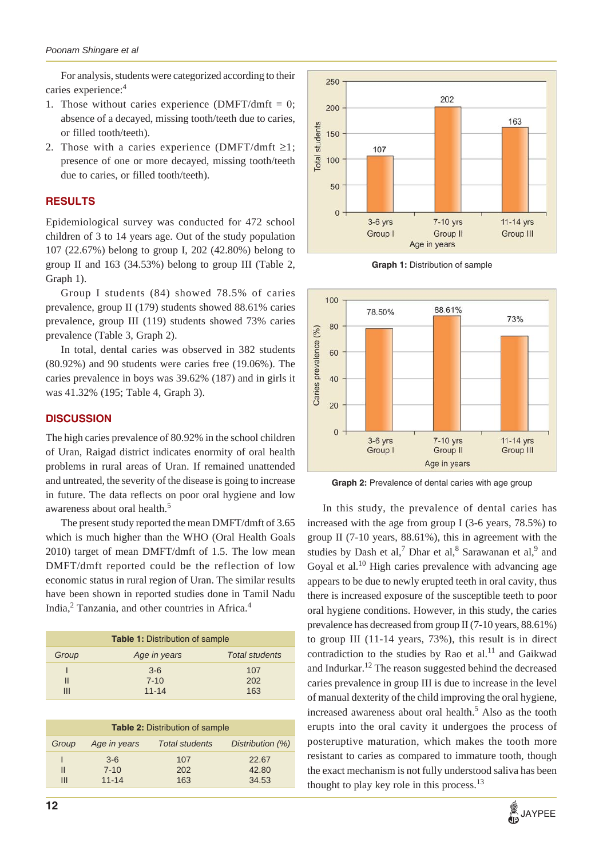For analysis, students were categorized according to their caries experience:<sup>4</sup>

- 1. Those without caries experience  $(DMFT/dmft = 0;$ absence of a decayed, missing tooth/teeth due to caries, or filled tooth/teeth).
- 2. Those with a caries experience (DMFT/dmft  $\geq$ 1; presence of one or more decayed, missing tooth/teeth due to caries, or filled tooth/teeth).

## **RESULTS**

Epidemiological survey was conducted for 472 school children of 3 to 14 years age. Out of the study population 107 (22.67%) belong to group I, 202 (42.80%) belong to group II and 163 (34.53%) belong to group III (Table 2, Graph 1).

Group I students (84) showed 78.5% of caries prevalence, group II (179) students showed 88.61% caries prevalence, group III (119) students showed 73% caries prevalence (Table 3, Graph 2).

In total, dental caries was observed in 382 students (80.92%) and 90 students were caries free (19.06%). The caries prevalence in boys was 39.62% (187) and in girls it was 41.32% (195; Table 4, Graph 3).

## **DISCUSSION**

The high caries prevalence of 80.92% in the school children of Uran, Raigad district indicates enormity of oral health problems in rural areas of Uran. If remained unattended and untreated, the severity of the disease is going to increase in future. The data reflects on poor oral hygiene and low awareness about oral health.<sup>5</sup>

The present study reported the mean DMFT/dmft of 3.65 which is much higher than the WHO (Oral Health Goals 2010) target of mean DMFT/dmft of 1.5. The low mean DMFT/dmft reported could be the reflection of low economic status in rural region of Uran. The similar results have been shown in reported studies done in Tamil Nadu India,<sup>2</sup> Tanzania, and other countries in Africa.<sup>4</sup>

| <b>Table 1: Distribution of sample</b> |              |                       |  |  |
|----------------------------------------|--------------|-----------------------|--|--|
| Group                                  | Age in years | <b>Total students</b> |  |  |
|                                        | $3-6$        | 107                   |  |  |
| Ш                                      | $7 - 10$     | 202                   |  |  |
|                                        | $11 - 14$    | 163                   |  |  |

| <b>Table 2: Distribution of sample</b> |              |                       |                  |  |  |  |
|----------------------------------------|--------------|-----------------------|------------------|--|--|--|
| Group                                  | Age in years | <b>Total students</b> | Distribution (%) |  |  |  |
|                                        | $3-6$        | 107                   | 22.67            |  |  |  |
| Ш                                      | $7 - 10$     | 202                   | 42.80            |  |  |  |
| $\mathbf{III}$                         | $11 - 14$    | 163                   | 34.53            |  |  |  |



**Graph 1:** Distribution of sample



**Graph 2:** Prevalence of dental caries with age group

In this study, the prevalence of dental caries has increased with the age from group I (3-6 years, 78.5%) to group II (7-10 years, 88.61%), this in agreement with the studies by Dash et al,<sup>7</sup> Dhar et al,<sup>8</sup> Sarawanan et al,<sup>9</sup> and Goyal et al.<sup>10</sup> High caries prevalence with advancing age appears to be due to newly erupted teeth in oral cavity, thus there is increased exposure of the susceptible teeth to poor oral hygiene conditions. However, in this study, the caries prevalence has decreased from group II (7-10 years, 88.61%) to group III (11-14 years, 73%), this result is in direct contradiction to the studies by Rao et al. $^{11}$  and Gaikwad and Indurkar.<sup>12</sup> The reason suggested behind the decreased caries prevalence in group III is due to increase in the level of manual dexterity of the child improving the oral hygiene, increased awareness about oral health.<sup>5</sup> Also as the tooth erupts into the oral cavity it undergoes the process of posteruptive maturation, which makes the tooth more resistant to caries as compared to immature tooth, though the exact mechanism is not fully understood saliva has been thought to play key role in this process.<sup>13</sup>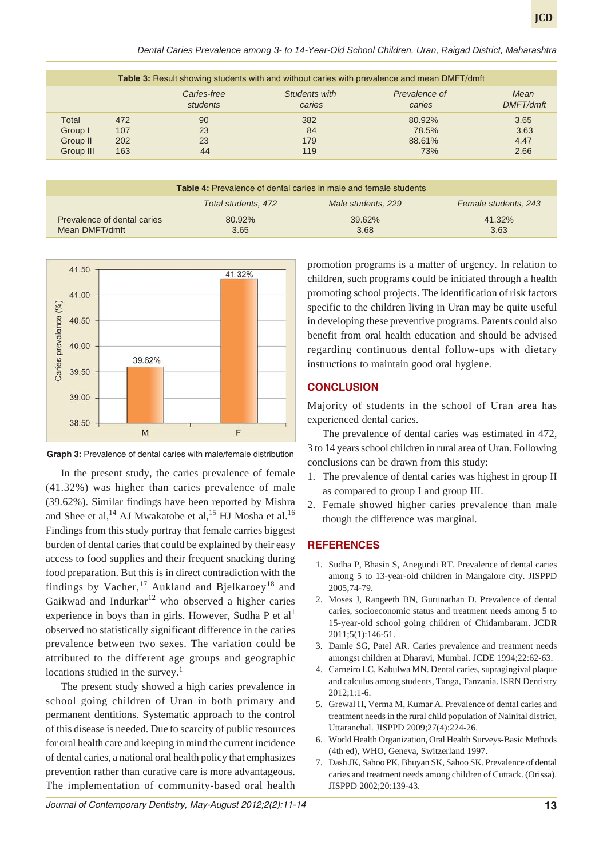|           | <b>Table 3:</b> Result showing students with and without caries with prevalence and mean DMFT/dmft |                         |                         |                         |                          |  |
|-----------|----------------------------------------------------------------------------------------------------|-------------------------|-------------------------|-------------------------|--------------------------|--|
|           |                                                                                                    | Caries-free<br>students | Students with<br>caries | Prevalence of<br>caries | Mean<br><b>DMFT/dmft</b> |  |
| Total     | 472                                                                                                | 90                      | 382                     | 80.92%                  | 3.65                     |  |
| Group I   | 107                                                                                                | 23                      | 84                      | 78.5%                   | 3.63                     |  |
| Group II  | 202                                                                                                | 23                      | 179                     | 88.61%                  | 4.47                     |  |
| Group III | 163                                                                                                | 44                      | 119                     | 73%                     | 2.66                     |  |

| <b>Table 4:</b> Prevalence of dental caries in male and female students |                     |                    |                      |  |  |
|-------------------------------------------------------------------------|---------------------|--------------------|----------------------|--|--|
|                                                                         | Total students, 472 | Male students, 229 | Female students, 243 |  |  |
| Prevalence of dental caries<br>Mean DMFT/dmft                           | 80.92%<br>3.65      | 39.62%<br>3.68     | 41.32%<br>3.63       |  |  |



**Graph 3:** Prevalence of dental caries with male/female distribution

In the present study, the caries prevalence of female (41.32%) was higher than caries prevalence of male (39.62%). Similar findings have been reported by Mishra and Shee et al,<sup>14</sup> AJ Mwakatobe et al,<sup>15</sup> HJ Mosha et al.<sup>16</sup> Findings from this study portray that female carries biggest burden of dental caries that could be explained by their easy access to food supplies and their frequent snacking during food preparation. But this is in direct contradiction with the findings by Vacher,<sup>17</sup> Aukland and Bjelkaroey<sup>18</sup> and Gaikwad and Indurkar $12$  who observed a higher caries experience in boys than in girls. However, Sudha P et  $al<sup>1</sup>$ observed no statistically significant difference in the caries prevalence between two sexes. The variation could be attributed to the different age groups and geographic locations studied in the survey.<sup>1</sup>

The present study showed a high caries prevalence in school going children of Uran in both primary and permanent dentitions. Systematic approach to the control of this disease is needed. Due to scarcity of public resources for oral health care and keeping in mind the current incidence of dental caries, a national oral health policy that emphasizes prevention rather than curative care is more advantageous. The implementation of community-based oral health

promotion programs is a matter of urgency. In relation to children, such programs could be initiated through a health promoting school projects. The identification of risk factors specific to the children living in Uran may be quite useful in developing these preventive programs. Parents could also benefit from oral health education and should be advised regarding continuous dental follow-ups with dietary instructions to maintain good oral hygiene.

## **CONCLUSION**

Majority of students in the school of Uran area has experienced dental caries.

The prevalence of dental caries was estimated in 472, 3 to 14 years school children in rural area of Uran. Following conclusions can be drawn from this study:

- 1. The prevalence of dental caries was highest in group II as compared to group I and group III.
- 2. Female showed higher caries prevalence than male though the difference was marginal.

#### **REFERENCES**

- 1. Sudha P, Bhasin S, Anegundi RT. Prevalence of dental caries among 5 to 13-year-old children in Mangalore city. JISPPD 2005;74-79.
- 2. Moses J, Rangeeth BN, Gurunathan D. Prevalence of dental caries, socioeconomic status and treatment needs among 5 to 15-year-old school going children of Chidambaram. JCDR 2011;5(1):146-51.
- 3. Damle SG, Patel AR. Caries prevalence and treatment needs amongst children at Dharavi, Mumbai. JCDE 1994;22:62-63.
- 4. Carneiro LC, Kabulwa MN. Dental caries, supragingival plaque and calculus among students, Tanga, Tanzania. ISRN Dentistry 2012;1:1-6.
- 5. Grewal H, Verma M, Kumar A. Prevalence of dental caries and treatment needs in the rural child population of Nainital district, Uttaranchal. JISPPD 2009;27(4):224-26.
- 6. World Health Organization, Oral Health Surveys-Basic Methods (4th ed), WHO, Geneva, Switzerland 1997.
- 7. Dash JK, Sahoo PK, Bhuyan SK, Sahoo SK. Prevalence of dental caries and treatment needs among children of Cuttack. (Orissa). JISPPD 2002;20:139-43.

**JCD**